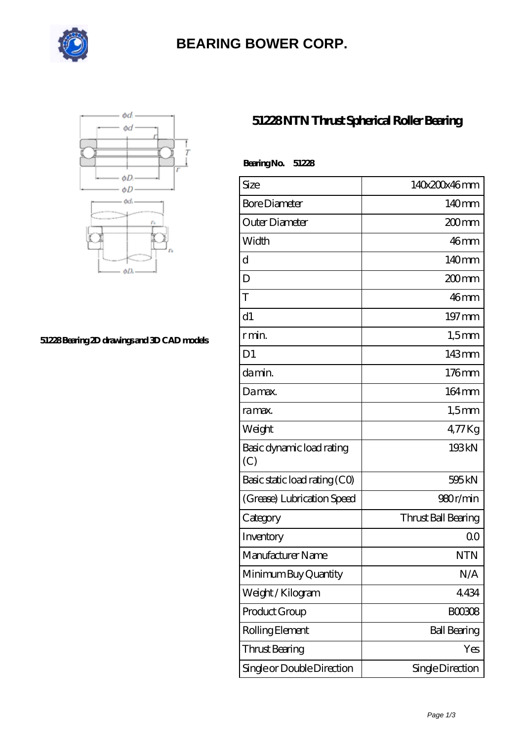

# **[BEARING BOWER CORP.](https://ballersunited.org)**



#### **[51228 Bearing 2D drawings and 3D CAD models](https://ballersunited.org/pic-1037171.html)**

### **[51228 NTN Thrust Spherical Roller Bearing](https://ballersunited.org/thrust-tapered-roller-bearing/51228.html)**

| BearingNo.<br>51228              |                     |
|----------------------------------|---------------------|
| Size                             | 140x200x46mm        |
| <b>Bore Diameter</b>             | 140mm               |
| Outer Diameter                   | 200mm               |
| Width                            | 46mm                |
| d                                | 140mm               |
| D                                | $200$ mm            |
| T                                | 46mm                |
| d1                               | $197 \,\mathrm{mm}$ |
| r min.                           | $1,5$ mm            |
| D <sub>1</sub>                   | 143mm               |
| da min.                          | $176$ mm            |
| Damax.                           | $164 \,\mathrm{mm}$ |
| ra max.                          | $1,5$ mm            |
| Weight                           | $477$ Kg            |
| Basic dynamic load rating<br>(C) | 193kN               |
| Basic static load rating (CO)    | 595 <sub>kN</sub>   |
| (Grease) Lubrication Speed       | 980r/min            |
| Category                         | Thrust Ball Bearing |
| Inventory                        | 0 <sup>0</sup>      |
| Manufacturer Name                | <b>NTN</b>          |
| Minimum Buy Quantity             | N/A                 |
| Weight/Kilogram                  | 4434                |
| Product Group                    | <b>BOO3O8</b>       |
| Rolling Element                  | <b>Ball Bearing</b> |
| <b>Thrust Bearing</b>            | Yes                 |
| Single or Double Direction       | Single Direction    |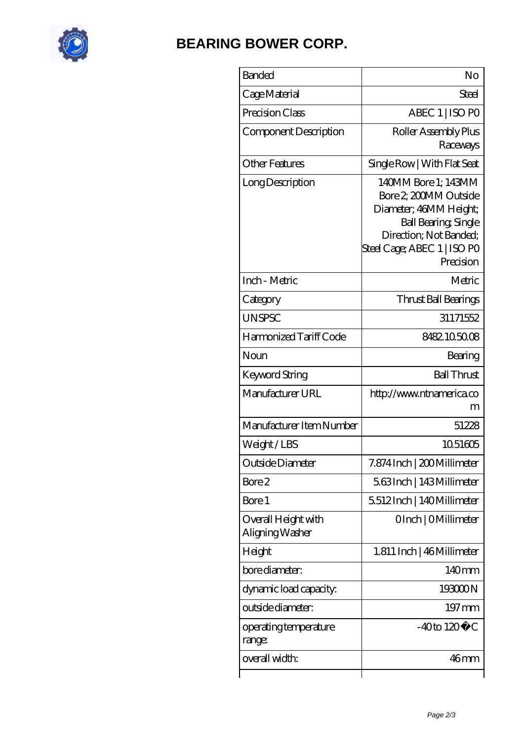

## **[BEARING BOWER CORP.](https://ballersunited.org)**

| <b>Banded</b>                          | No                                                                                                                                                                         |
|----------------------------------------|----------------------------------------------------------------------------------------------------------------------------------------------------------------------------|
| Cage Material                          | Steel                                                                                                                                                                      |
| Precision Class                        | ABEC 1   ISO PO                                                                                                                                                            |
| Component Description                  | Roller Assembly Plus<br>Raceways                                                                                                                                           |
| <b>Other Features</b>                  | Single Row   With Flat Seat                                                                                                                                                |
| Long Description                       | 140MM Bore 1; 143MM<br>Bore 2 200MM Outside<br>Diameter; 46MM Height;<br><b>Ball Bearing, Single</b><br>Direction; Not Banded;<br>Steel Cage; ABEC 1   ISO PO<br>Precision |
| Inch - Metric                          | Metric                                                                                                                                                                     |
| Category                               | Thrust Ball Bearings                                                                                                                                                       |
| <b>UNSPSC</b>                          | 31171552                                                                                                                                                                   |
| Harmonized Tariff Code                 | 8482105008                                                                                                                                                                 |
| Noun                                   | Bearing                                                                                                                                                                    |
| Keyword String                         | <b>Ball Thrust</b>                                                                                                                                                         |
| Manufacturer URL                       | http://www.ntnamerica.co<br>m                                                                                                                                              |
| Manufacturer Item Number               | 51228                                                                                                                                                                      |
| Weight/LBS                             | 1051605                                                                                                                                                                    |
| Outside Diameter                       | 7.874 Inch   200 Millimeter                                                                                                                                                |
| Bore 2                                 | 563Inch   143Millimeter                                                                                                                                                    |
| Bore 1                                 | 5512Inch   140Millimeter                                                                                                                                                   |
| Overall Height with<br>Aligning Washer | OInch   OMillimeter                                                                                                                                                        |
| Height                                 | 1.811 Inch   46 Millimeter                                                                                                                                                 |
| bore diameter:                         | 140mm                                                                                                                                                                      |
| dynamic load capacity:                 | 193000N                                                                                                                                                                    |
| outside diameter:                      | $197 \,\mathrm{mm}$                                                                                                                                                        |
| operating temperature<br>range:        | $-40$ to $120^{\circ}$ C                                                                                                                                                   |
| overall width:                         | 46mm                                                                                                                                                                       |
|                                        |                                                                                                                                                                            |